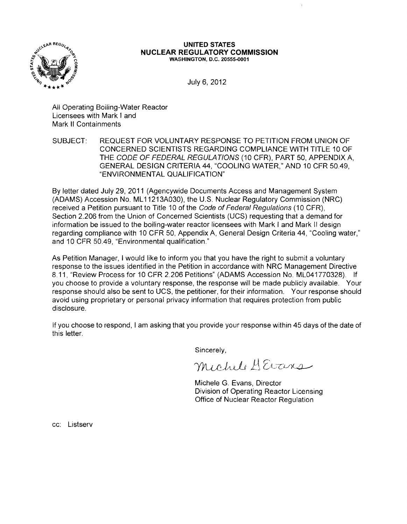

## **UNITED STATES NUCLEAR REGULATORY COMMISSION** WASHINGTON, D.C. 20555-0001

July 6, 2012

All Operating Boiling-Water Reactor Licensees with Mark I and Mark II Containments

SUBJECT: REQUEST FOR VOLUNTARY RESPONSE TO PETITION FROM UNION OF CONCERNED SCIENTISTS REGARDING COMPLIANCE WITH TITLE 10 OF THE CODE OF FEDERAL REGULATIONS (10 CFR), PART 50, APPENDIX A, GENERAL DESIGN CRITERIA 44, "COOLING WATER," AND 10 CFR 50.49, "ENVIRONMENTAL QUALIFICATION"

By letter dated July 29,2011 (Agencywide Documents Access and Management System (ADAMS) Accession No. ML 11213A030), the U.S. Nuclear Regulatory Commission (NRC) received a Petition pursuant to Title 10 of the Code of Federal Regulations (10 CFR), Section 2.206 from the Union of Concerned Scientists (UCS) requesting that a demand for information be issued to the boiling-water reactor licensees with Mark I and Mark 1/ design regarding compliance with 10 CFR 50, Appendix A, General Design Criteria 44, "Cooling water," and 10 CFR 50.49, "Environmental qualification."

As Petition Manager, I would like to inform you that you have the right to submit a voluntary response to the issues identified in the Petition in accordance with NRC Management Directive 8.11, "Review Process for 10 CFR 2.206 Petitions" (ADAMS Accession No. ML041770328). If you choose to provide a voluntary response, the response will be made publicly available. Your response should also be sent to UCS, the petitioner, for their information. Your response should avoid using proprietary or personal privacy information that requires protection from public disclosure.

If you choose to respond, I am asking that you provide your response within 45 days of the date of this letter.

Sincerely,

michel HErrs

Michele G. Evans, Director Division of Operating Reactor Licensing Office of Nuclear Reactor Regulation

cc: Listserv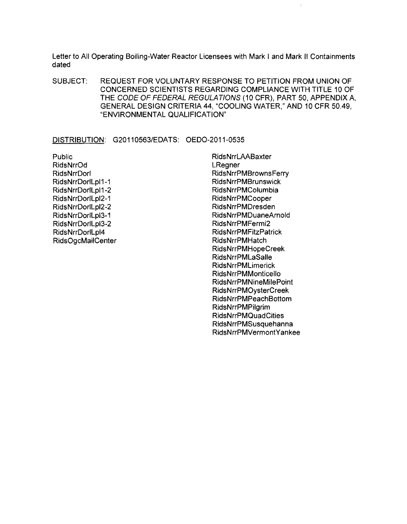Letter to All Operating Boiling-Water Reactor Licensees with Mark I and Mark II Containments dated

SUBJECT: REQUEST FOR VOLUNTARY RESPONSE TO PETITION FROM UNION OF CONCERNED SCIENTISTS REGARDING COMPLIANCE WITH TITLE 10 OF THE CODE OF FEDERAL REGULATIONS (10 CFR), PART 50, APPENDIX A, GENERAL DESIGN CRITERIA 44, "COOLING WATER," AND 10 CFR 50.49, "ENVIRONMENTAL QUALIFICATION"

DISTRIBUTION: G20110563/EDATS: OEDO-2011-0535

Public RidsNrrOd RidsNrrDorl RidsNrrDorlLpl1-1 RidsNrrDorlLpl1 ~2 RidsNrrDorlLpl2-1 RidsNrrDorlLpl2~2 RidsNrrDorlLpl3-1 RidsNrrDorlLpl3-2 RidsNrrDorlLpl4 RidsOgcMailCenter RidsNrrLAABaxter **LRegner** RidsNrrPMBrownsFerry RidsNrrPMBrunswick RidsNrrPMColumbia RidsNrrPMCooper RidsNrrPMDresden RidsNrrPMDuaneArnold RidsNrrPMFermi2 RidsNrrPMFitzPatrick RidsNrrPMHatch RidsNrrPMHopeCreek RidsNrrPMLaSalle RidsNrrPMLimerick RidsNrrPMMonticello RidsNrrPMNineMilePoint RidsNrrPMOysterCreek RidsNrrPMPeachBottom RidsNrrPMPilgrim RidsNrrPMQuadCities RidsNrrPMSusquehanna RidsNrrPMVermontYankee

 $\mathfrak{f}$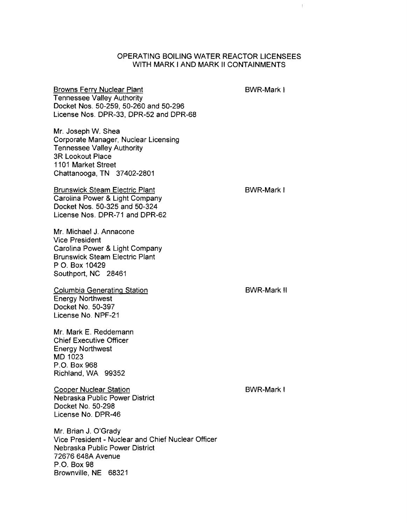## OPERATING BOILING WATER REACTOR LICENSEES WITH MARK I AND MARK II CONTAINMENTS

Browns Ferry Nuclear Plant Tennessee Valley Authority Docket Nos. 50-259, 50-260 and 50-296 License Nos. DPR-33, DPR-52 and DPR-68

Mr. Joseph W. Shea Corporate Manager, Nuclear Licensing Tennessee Valley Authority 3R Lookout Place 1101 Market Street Chattanooga, TN 37402-2801

Brunswick Steam Electric Plant Carolina Power & Light Company Docket Nos. 50-325 and 50-324 License Nos. DPR-71 and DPR-62

Mr. Michael J. Annacone Vice President Carolina Power & Light Company Brunswick Steam Electric Plant PO. Box 10429 Southport, NC 28461

Columbia Generating Station Energy Northwest Docket No. 50-397 License No. NPF-21

Mr. Mark E. Reddemann Chief Executive Officer Energy Northwest MD 1023 P.O. Box 968 Richland, WA 99352

Cooper Nuclear Station Nebraska Public Power District Docket No. 50-298 License No. DPR-46

Mr. Brian J. O'Grady Vice President - Nuclear and Chief Nuclear Officer Nebraska Public Power District 72676 648A Avenue P.O. Box 98 Brownville, NE 68321

BWR-Mark I

 $\mathfrak{f}$ 

BWR-Mark I

BWR-Mark II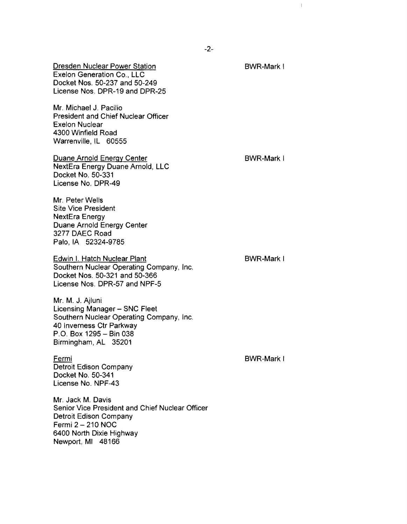Dresden Nuclear Power Station Exelon Generation Co., LLC Docket Nos. 50-237 and 50-249 License Nos. DPR-19 and DPR-25

Mr. Michael J. Pacilio President and Chief Nuclear Officer Exelon Nuclear 4300 Winfield Road Warrenville, IL 60555

Duane Arnold Energy Center NextEra Energy Duane Arnold, LLC Docket No. 50-331 License No. DPR-49

BWR-Mark I

Mr. Peter Wells Site Vice President NextEra Energy Duane Arnold Energy Center 3277 DAEC Road Palo, IA 52324-9785

Edwin I. Hatch Nuclear Plant Southern Nuclear Operating Company, Inc. Docket Nos. 50-321 and 50-366 License Nos. DPR-57 and NPF-5

Mr. M. J. Ajluni Licensing Manager - SNC Fleet Southern Nuclear Operating Company, Inc. 40 Inverness Ctr Parkway P.O. Box 1295 - Bin 038 Birmingham, AL 35201

Fermi Detroit Edison Company Docket No. 50-341 License No. NPF-43

Mr. Jack M. Davis Senior Vice President and Chief Nuclear Officer Detroit Edison Company Fermi  $2 - 210$  NOC 6400 North Dixie Highway Newport, MI 48166

BWR-Mark I

BWR-Mark I

 $-2-$ 

BWR-Mark I

Ī.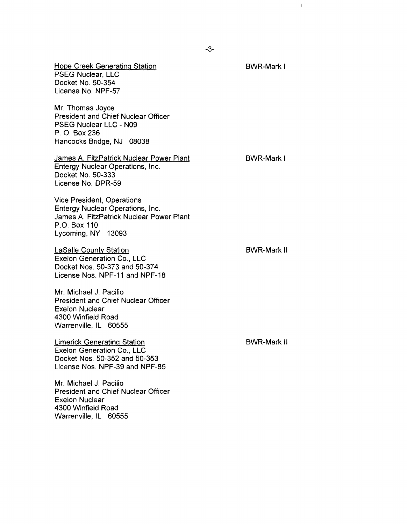Hope Creek Generating Station PSEG Nuclear, LLC Docket No. 50-354 License No. NPF-57

Mr. Thomas Joyce President and Chief Nuclear Officer PSEG Nuclear LLC - N09 P. O. Box 236 Hancocks Bridge, NJ 08038

James A. FitzPatrick Nuclear Power Plant Entergy Nuclear Operations, Inc. Docket No. 50-333 License No. DPR-59

Vice President, Operations Entergy Nuclear Operations, Inc. James A. FitzPatrick Nuclear Power Plant P.O. Box 110 Lycoming, NY 13093

LaSalle County Station Exelon Generation Co., LLC Docket Nos. 50-373 and 50-374 License Nos. NPF-11 and NPF-18

Mr. Michael J. Pacilio President and Chief Nuclear Officer Exelon Nuclear 4300 Winfield Road Warrenville, IL 60555

Limerick Generating Station Exelon Generation Co., LLC Docket Nos. 50-352 and 50-353 License Nos. NPF-39 and NPF-85

Mr. Michael J. Pacilio President and Chief Nuclear Officer Exelon Nuclear 4300 Winfield Road Warrenville, IL 60555

BWR-Mark I

 $\mathbb{L}$ 

BWR-Mark II

BWR-Mark II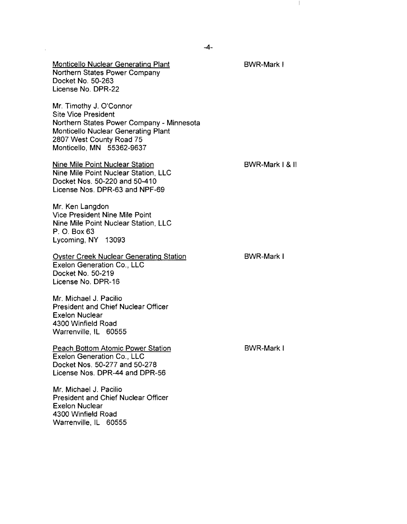BWR-Mark I

Monticello Nuclear Generating Plant Northern States Power Company Docket No. 50-263 License No. DPR-22

Mr. Timothy J. O'Connor Site Vice President Northern States Power Company - Minnesota Monticello Nuclear Generating Plant 2807 West County Road 75 Monticello, **MN** 55362-9637

Nine Mile Point Nuclear Station Nine Mile Point Nuclear Station, LLC Docket Nos. 50-220 and 50-410 License Nos. DPR-63 and NPF-69

Mr. Ken Langdon Vice President Nine Mile Point Nine Mile Point Nuclear Station, LLC P. O. Box 63 Lycoming, NY 13093

Oyster Creek Nuclear Generating Station Exelon Generation Co., LLC Docket No. 50-219 License No. DPR-16

Mr. Michael J. Pacilio President and Chief Nuclear Officer Exelon Nuclear 4300 Winfield Road Warrenville, IL 60555

Peach Bottom Atomic Power Station Exelon Generation Co., LLC Docket Nos. 50-277 and 50-278 License Nos. DPR-44 and DPR-56

Mr. Michael J. Pacilio President and Chief Nuclear Officer Exelon Nuclear 4300 Winfield Road Warrenville, IL 60555

BWR-Mark I & II

BWR-Mark I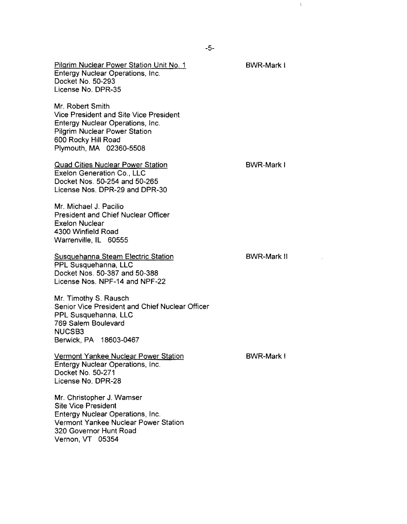Pilgrim Nuclear Power Station Unit No. 1 Entergy Nuclear Operations, Inc. Docket No. 50-293 License No. DPR-35

Mr. Robert Smith Vice President and Site Vice President Entergy Nuclear Operations, Inc. Pilgrim Nuclear Power Station 600 Rocky Hill Road Plymouth, MA 02360-5508

Quad Cities Nuclear Power Station Exelon Generation Co., LLC Docket Nos. 50-254 and 50-265 License Nos. DPR-29 and DPR-30

Mr. Michael J. Pacilio President and Chief Nuclear Officer Exelon Nuclear 4300 Winfield Road Warrenville, IL 60555

Susquehanna Steam Electric Station PPL Susquehanna, LLC Docket Nos. 50-387 and 50-388 License Nos. NPF-14 and NPF-22

Mr. Timothy S. Rausch Senior Vice President and Chief Nuclear Officer PPL Susquehanna, LLC 769 Salem Boulevard NUCSB3 Berwick, PA 18603-0467

Vermont Yankee Nuclear Power Station Entergy Nuclear Operations, Inc. Docket No. 50-271 License No. DPR-28

Mr. Christopher J. Wamser Site Vice President Entergy Nuclear Operations, Inc. Vermont Yankee Nuclear Power Station 320 Governor Hunt Road Vernon, VT 05354

BWR-Mark I

BWR-Mark I

 $\mathbb{L}$ 

BWR-Mark II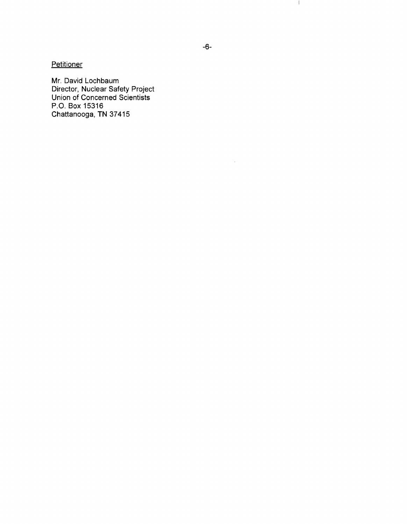**Petitioner** 

Mr. David Lochbaum Director, Nuclear Safety Project Union of Concerned Scientists P.O. Box 15316 Chattanooga, **TN** 37415

 $\mathcal{L}^{\mathcal{A}}$ 

 $\mathcal{A}_{\mathcal{A}}$